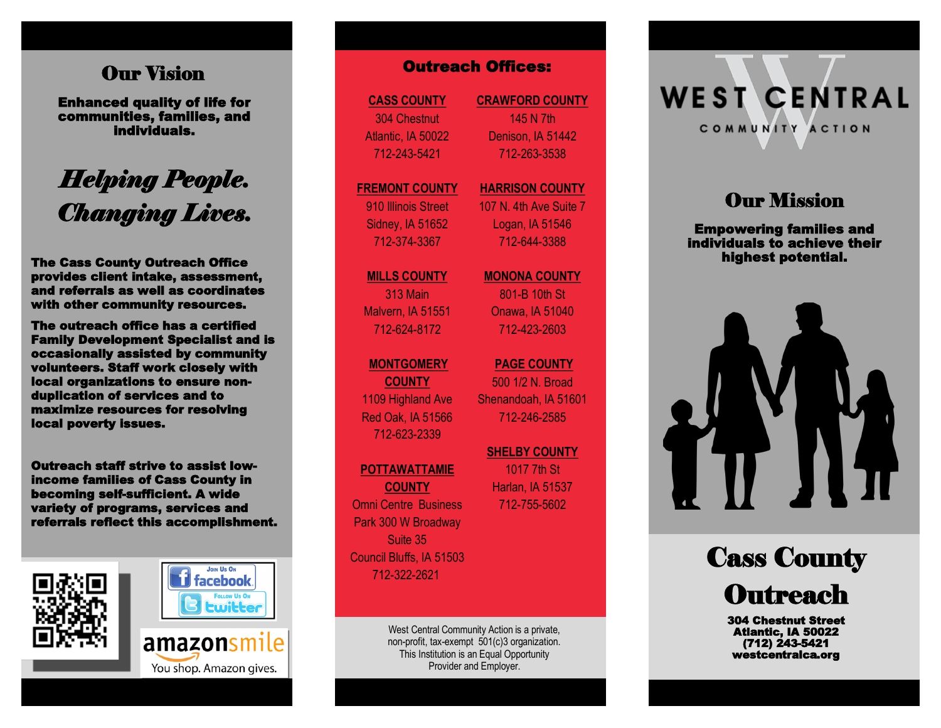## Our Vision

Enhanced quality of life for communities, families, and individuals.

# *Helping People. Changing Lives.*

The Cass County Outreach Office provides client intake, assessment, and referrals as well as coordinates with other community resources.

The outreach office has a certified Family Development Specialist and is occasionally assisted by community volunteers. Staff work closely with local organizations to ensure nonduplication of services and to maximize resources for resolving local poverty issues.

Outreach staff strive to assist lowincome families of Cass County in becoming self-sufficient. A wide variety of programs, services and referrals reflect this accomplishment.





**CASS COUNTY** 304 Chestnut Atlantic, IA 50022 712 -243 -5421

**FREMONT COUNTY** 910 Illinois Street

Sidney, IA 51652 712 -374 -3367

**MILLS COUNTY** 313 Main Malvern, IA 51551 712 -624 -8172

#### **MONTGOMERY**

**COUNTY** 1109 Highland Ave Red Oak, IA 51566 712 -623 -2339

#### **POTTAWATTAMIE**

**COUNTY** Omni Centre Business Park 300 W Broadway Suite 35 Council Bluffs, IA 51503 712 -322 -2621

> West Central Community Action is a private, non -profit, tax -exempt 501(c)3 organization. This Institution is an Equal Opportunity Provider and Employer.

**CRAWFORD COUNTY** 145 N 7th Denison, IA 51442 712 -263 -3538

**HARRISON COUNTY** 107 N. 4th Ave Suite 7

Logan, IA 51546 712 -644 -3388

**MONONA COUNTY**

801 -B 10th St Onawa, IA 51040 712 -423 -2603

**PAGE COUNTY**  500 1/2 N. Broad Shenandoah, IA 51601 712 -246 -2585 **COUNTY CRAWFORD COUNTY**<br>
Chestnut 145 N 7th<br>
145 N 7th<br>
145 N 7th<br>
145 N 7th<br>
145 N 7th<br>
145 N 7th<br>
145 N 7th<br>
145 N 7th<br>
145 N 7th<br>
172-263-3538<br>
NT COUNTY MARRISON COUI<br>
107 N. 4th Ave Su<br>
107 N. 4th Ave Su<br>
107 N. 4th

**SHELBY COUNTY**  1017 7th St Harlan, IA 51537 712 -755

**WEST CENTRAL** COMMUNITY ACTION

## **Our Mission**

Empowering families and individuals to achieve their highest potential.





304 Chestnut Street Atlantic, IA 50022 (712) 243 -5421 westcentralca.org

You shop. Amazon gives.